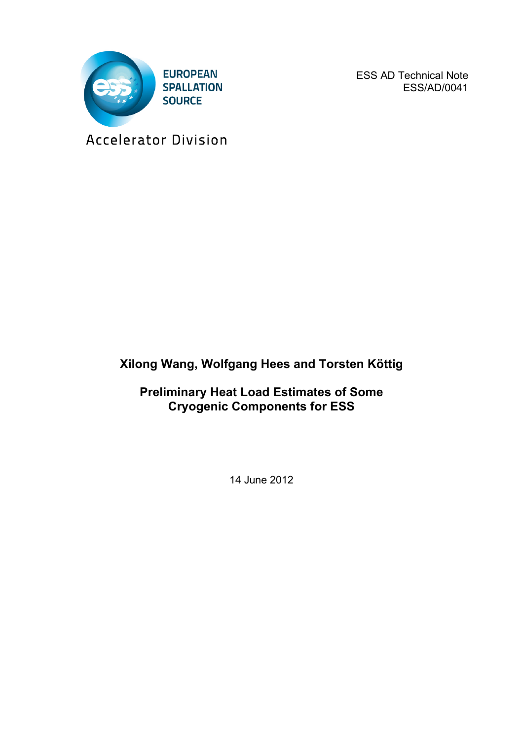

ESS AD Technical Note ESS/AD/0041

Accelerator Division

## **Xilong Wang, Wolfgang Hees and Torsten Köttig**

**Preliminary Heat Load Estimates of Some Cryogenic Components for ESS**

14 June 2012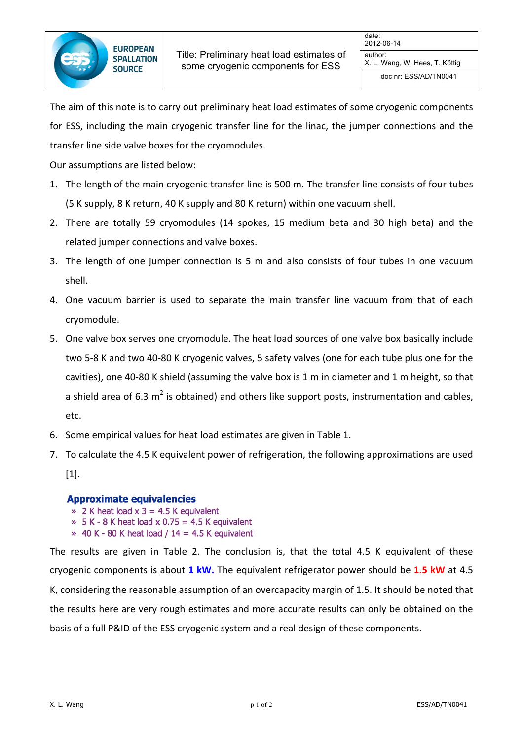doc nr: ESS/AD/TN0041

The aim of this note is to carry out preliminary heat load estimates of some cryogenic components for ESS, including the main cryogenic transfer line for the linac, the jumper connections and the transfer line side valve boxes for the cryomodules.

Our assumptions are listed below:

- 1. The length of the main cryogenic transfer line is 500 m. The transfer line consists of four tubes (5 K supply, 8 K return, 40 K supply and 80 K return) within one vacuum shell.
- 2. There are totally 59 cryomodules (14 spokes, 15 medium beta and 30 high beta) and the related jumper connections and valve boxes.
- 3. The length of one jumper connection is 5 m and also consists of four tubes in one vacuum shell.
- 4. One vacuum barrier is used to separate the main transfer line vacuum from that of each cryomodule.
- 5. One valve box serves one cryomodule. The heat load sources of one valve box basically include two 5-8 K and two 40-80 K cryogenic valves, 5 safety valves (one for each tube plus one for the cavities), one 40-80 K shield (assuming the valve box is 1 m in diameter and 1 m height, so that a shield area of 6.3 m<sup>2</sup> is obtained) and others like support posts, instrumentation and cables, etc.
- 6. Some empirical values for heat load estimates are given in Table 1.
- 7. To calculate the 4.5 K equivalent power of refrigeration, the following approximations are used [1].

## **Approximate equivalencies**

- $\ge 2$  K heat load x 3 = 4.5 K equivalent
- $\ast$  5 K 8 K heat load x 0.75 = 4.5 K equivalent
- $\ast$  40 K 80 K heat load / 14 = 4.5 K equivalent

The results are given in Table 2. The conclusion is, that the total 4.5 K equivalent of these cryogenic components is about 1 kW. The equivalent refrigerator power should be 1.5 kW at 4.5 K, considering the reasonable assumption of an overcapacity margin of 1.5. It should be noted that the results here are very rough estimates and more accurate results can only be obtained on the basis of a full P&ID of the ESS cryogenic system and a real design of these components.